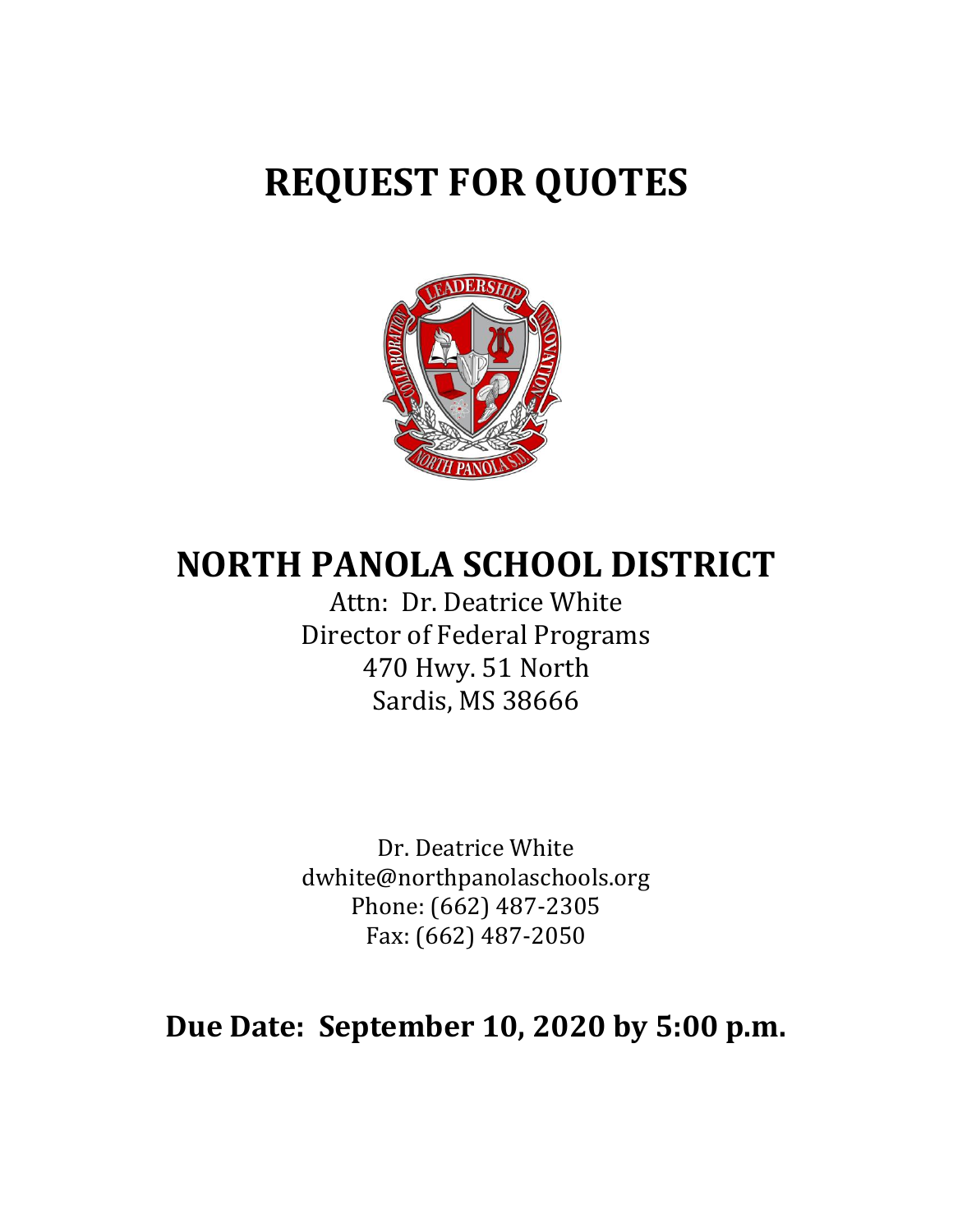# **REQUEST FOR QUOTES**



## **NORTH PANOLA SCHOOL DISTRICT**

Attn: Dr. Deatrice White Director of Federal Programs 470 Hwy. 51 North Sardis, MS 38666

Dr. Deatrice White dwhite@northpanolaschools.org Phone: (662) 487-2305 Fax: (662) 487-2050

## **Due Date: September 10, 2020 by 5:00 p.m.**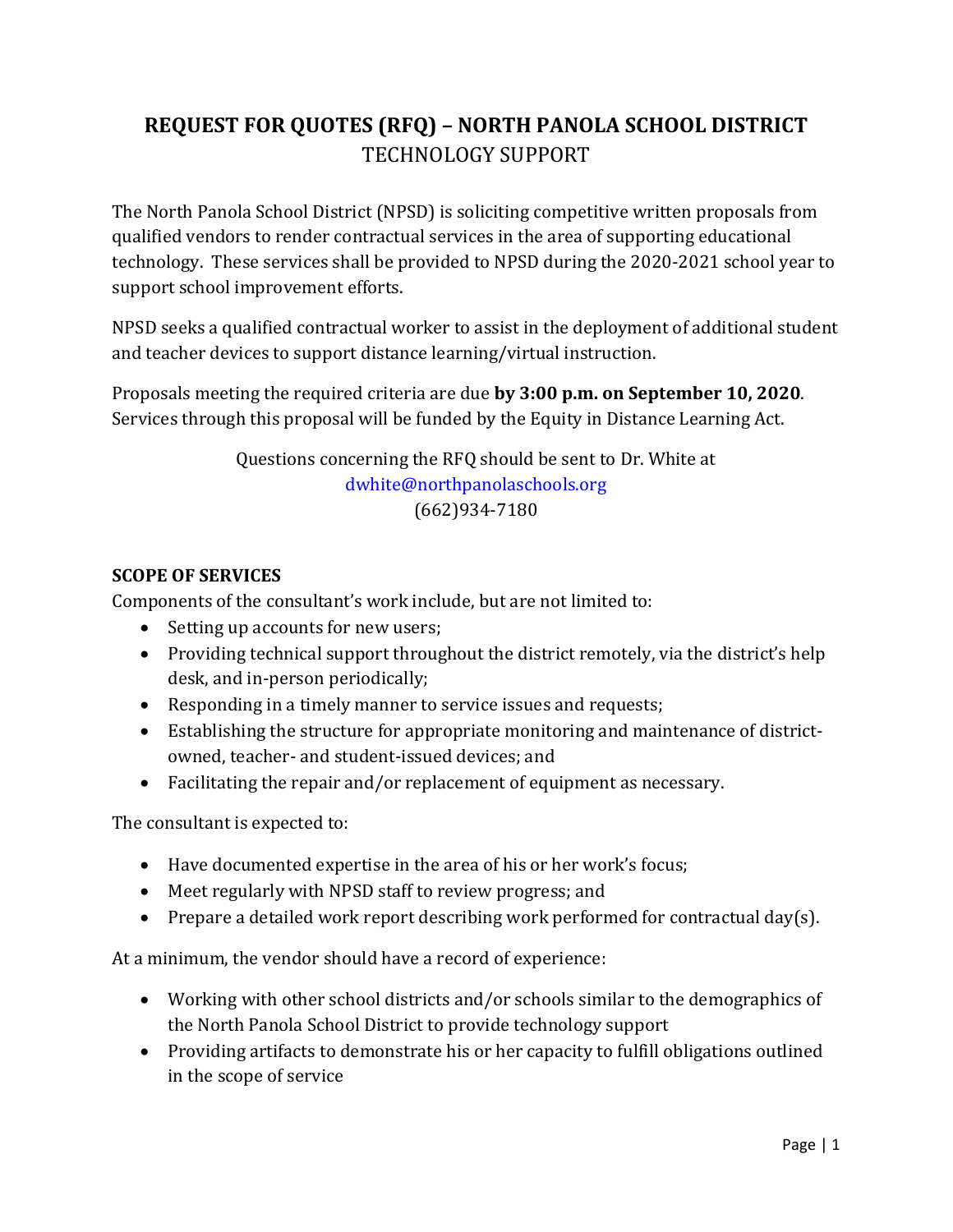## **REQUEST FOR QUOTES (RFQ) – NORTH PANOLA SCHOOL DISTRICT** TECHNOLOGY SUPPORT

The North Panola School District (NPSD) is soliciting competitive written proposals from qualified vendors to render contractual services in the area of supporting educational technology. These services shall be provided to NPSD during the 2020-2021 school year to support school improvement efforts.

NPSD seeks a qualified contractual worker to assist in the deployment of additional student and teacher devices to support distance learning/virtual instruction.

Proposals meeting the required criteria are due **by 3:00 p.m. on September 10, 2020**. Services through this proposal will be funded by the Equity in Distance Learning Act.

> Questions concerning the RFQ should be sent to Dr. White at [dwhite@northpanolaschools.org](mailto:dwhite@northpanolaschools.org) (662)934-7180

### **SCOPE OF SERVICES**

Components of the consultant's work include, but are not limited to:

- Setting up accounts for new users;
- Providing technical support throughout the district remotely, via the district's help desk, and in-person periodically;
- Responding in a timely manner to service issues and requests;
- Establishing the structure for appropriate monitoring and maintenance of districtowned, teacher- and student-issued devices; and
- Facilitating the repair and/or replacement of equipment as necessary.

The consultant is expected to:

- Have documented expertise in the area of his or her work's focus;
- Meet regularly with NPSD staff to review progress; and
- Prepare a detailed work report describing work performed for contractual day(s).

At a minimum, the vendor should have a record of experience:

- Working with other school districts and/or schools similar to the demographics of the North Panola School District to provide technology support
- Providing artifacts to demonstrate his or her capacity to fulfill obligations outlined in the scope of service